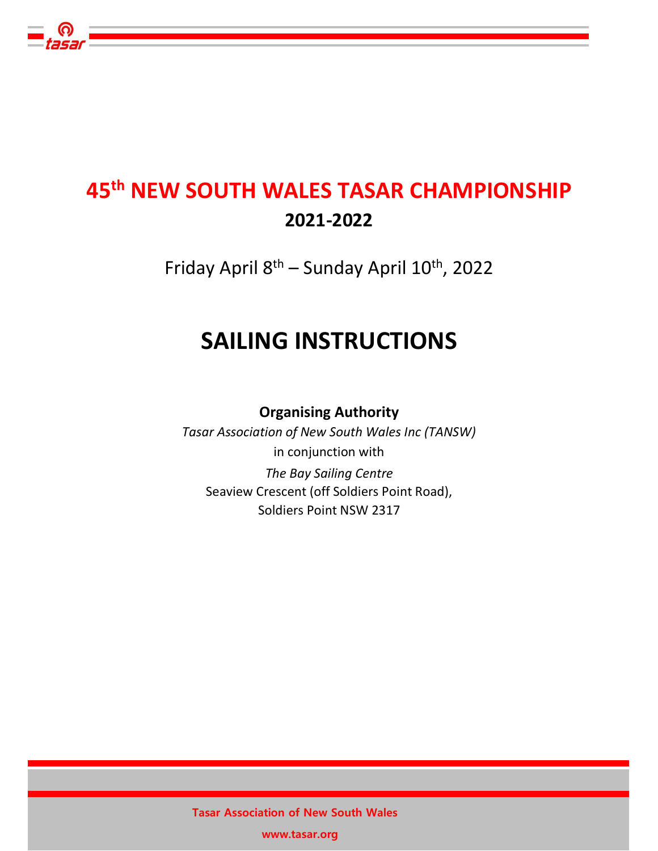# 45th NEW SOUTH WALES TASAR CHAMPIONSHIP 2021-2022

Friday April 8th – Sunday April 10th, 2022

# SAILING INSTRUCTIONS

Organising Authority

Tasar Association of New South Wales Inc (TANSW) in conjunction with The Bay Sailing Centre Seaview Crescent (off Soldiers Point Road),

Soldiers Point NSW 2317

Tasar Association of New South Wales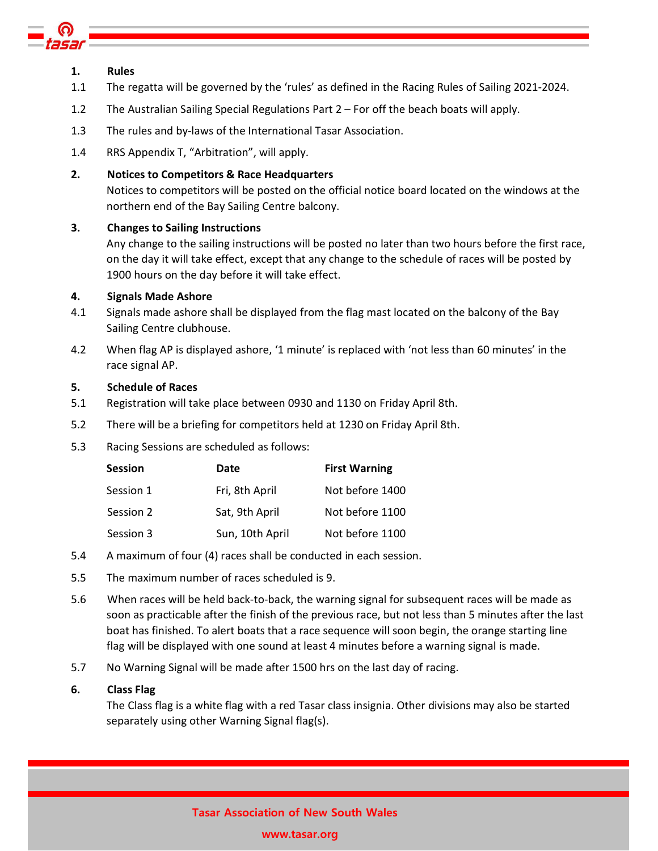

## 1. Rules

- 1.1 The regatta will be governed by the 'rules' as defined in the Racing Rules of Sailing 2021-2024.
- 1.2 The Australian Sailing Special Regulations Part 2 For off the beach boats will apply.
- 1.3 The rules and by-laws of the International Tasar Association.
- 1.4 RRS Appendix T, "Arbitration", will apply.

## 2. Notices to Competitors & Race Headquarters

Notices to competitors will be posted on the official notice board located on the windows at the northern end of the Bay Sailing Centre balcony.

## 3. Changes to Sailing Instructions

Any change to the sailing instructions will be posted no later than two hours before the first race, on the day it will take effect, except that any change to the schedule of races will be posted by 1900 hours on the day before it will take effect.

## 4. Signals Made Ashore

- 4.1 Signals made ashore shall be displayed from the flag mast located on the balcony of the Bay Sailing Centre clubhouse.
- 4.2 When flag AP is displayed ashore, '1 minute' is replaced with 'not less than 60 minutes' in the race signal AP.

## 5. Schedule of Races

- 5.1 Registration will take place between 0930 and 1130 on Friday April 8th.
- 5.2 There will be a briefing for competitors held at 1230 on Friday April 8th.
- 5.3 Racing Sessions are scheduled as follows:

| <b>Session</b> | Date            | <b>First Warning</b> |
|----------------|-----------------|----------------------|
| Session 1      | Fri, 8th April  | Not before 1400      |
| Session 2      | Sat, 9th April  | Not before 1100      |
| Session 3      | Sun, 10th April | Not before 1100      |

- 5.4 A maximum of four (4) races shall be conducted in each session.
- 5.5 The maximum number of races scheduled is 9.
- 5.6 When races will be held back-to-back, the warning signal for subsequent races will be made as soon as practicable after the finish of the previous race, but not less than 5 minutes after the last boat has finished. To alert boats that a race sequence will soon begin, the orange starting line flag will be displayed with one sound at least 4 minutes before a warning signal is made.
- 5.7 No Warning Signal will be made after 1500 hrs on the last day of racing.

# 6. Class Flag

The Class flag is a white flag with a red Tasar class insignia. Other divisions may also be started separately using other Warning Signal flag(s).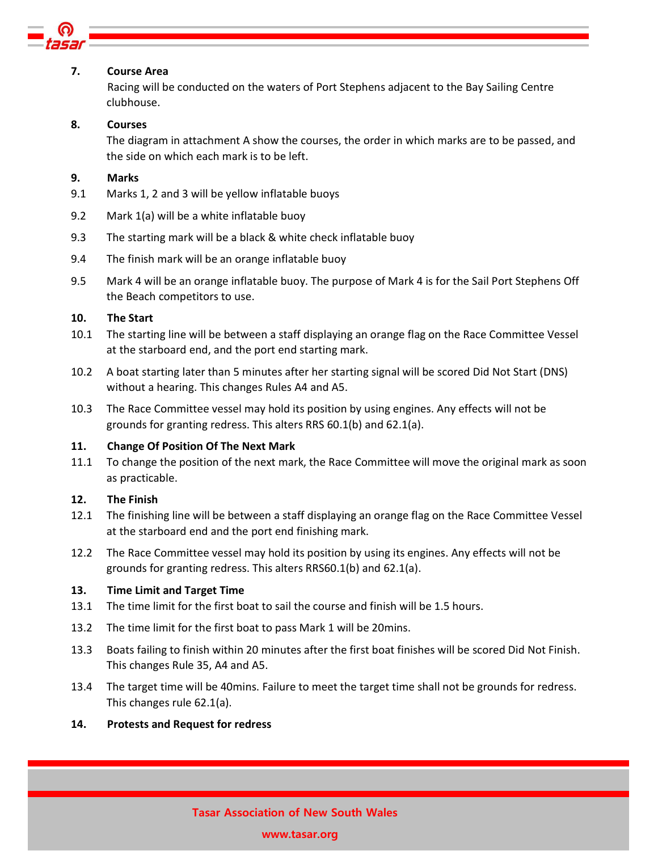

## 7. Course Area

 Racing will be conducted on the waters of Port Stephens adjacent to the Bay Sailing Centre clubhouse.

## 8. Courses

The diagram in attachment A show the courses, the order in which marks are to be passed, and the side on which each mark is to be left.

## 9. Marks

- 9.1 Marks 1, 2 and 3 will be yellow inflatable buoys
- 9.2 Mark 1(a) will be a white inflatable buoy
- 9.3 The starting mark will be a black & white check inflatable buoy
- 9.4 The finish mark will be an orange inflatable buoy
- 9.5 Mark 4 will be an orange inflatable buoy. The purpose of Mark 4 is for the Sail Port Stephens Off the Beach competitors to use.

## 10. The Start

- 10.1 The starting line will be between a staff displaying an orange flag on the Race Committee Vessel at the starboard end, and the port end starting mark.
- 10.2 A boat starting later than 5 minutes after her starting signal will be scored Did Not Start (DNS) without a hearing. This changes Rules A4 and A5.
- 10.3 The Race Committee vessel may hold its position by using engines. Any effects will not be grounds for granting redress. This alters RRS 60.1(b) and 62.1(a).

# 11. Change Of Position Of The Next Mark

11.1 To change the position of the next mark, the Race Committee will move the original mark as soon as practicable.

## 12. The Finish

- 12.1 The finishing line will be between a staff displaying an orange flag on the Race Committee Vessel at the starboard end and the port end finishing mark.
- 12.2 The Race Committee vessel may hold its position by using its engines. Any effects will not be grounds for granting redress. This alters RRS60.1(b) and 62.1(a).

## 13. Time Limit and Target Time

- 13.1 The time limit for the first boat to sail the course and finish will be 1.5 hours.
- 13.2 The time limit for the first boat to pass Mark 1 will be 20mins.
- 13.3 Boats failing to finish within 20 minutes after the first boat finishes will be scored Did Not Finish. This changes Rule 35, A4 and A5.
- 13.4 The target time will be 40mins. Failure to meet the target time shall not be grounds for redress. This changes rule 62.1(a).

## 14. Protests and Request for redress

# Tasar Association of New South Wales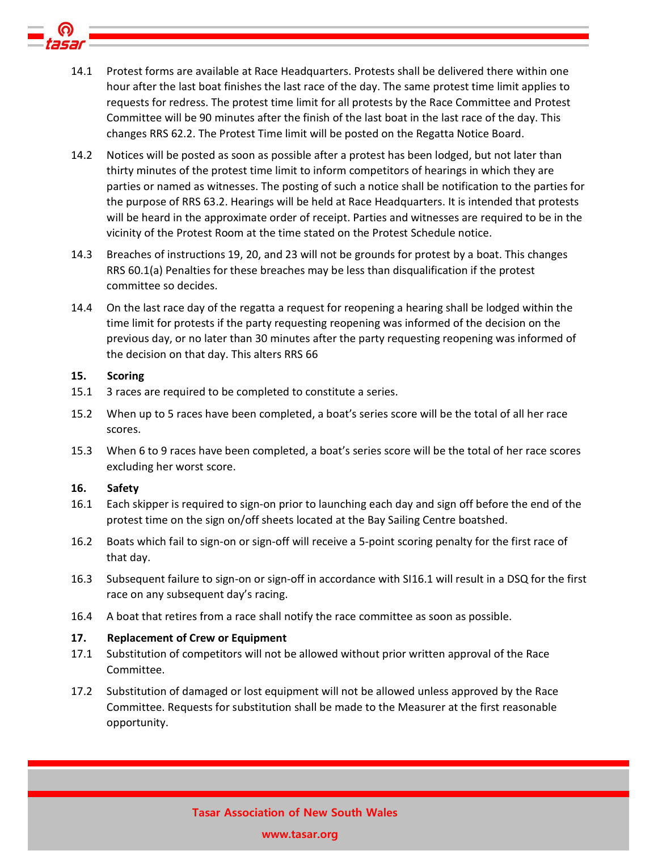- 14.1 Protest forms are available at Race Headquarters. Protests shall be delivered there within one hour after the last boat finishes the last race of the day. The same protest time limit applies to requests for redress. The protest time limit for all protests by the Race Committee and Protest Committee will be 90 minutes after the finish of the last boat in the last race of the day. This changes RRS 62.2. The Protest Time limit will be posted on the Regatta Notice Board.
- 14.2 Notices will be posted as soon as possible after a protest has been lodged, but not later than thirty minutes of the protest time limit to inform competitors of hearings in which they are parties or named as witnesses. The posting of such a notice shall be notification to the parties for the purpose of RRS 63.2. Hearings will be held at Race Headquarters. It is intended that protests will be heard in the approximate order of receipt. Parties and witnesses are required to be in the vicinity of the Protest Room at the time stated on the Protest Schedule notice.
- 14.3 Breaches of instructions 19, 20, and 23 will not be grounds for protest by a boat. This changes RRS 60.1(a) Penalties for these breaches may be less than disqualification if the protest committee so decides.
- 14.4 On the last race day of the regatta a request for reopening a hearing shall be lodged within the time limit for protests if the party requesting reopening was informed of the decision on the previous day, or no later than 30 minutes after the party requesting reopening was informed of the decision on that day. This alters RRS 66

#### 15. Scoring

- 15.1 3 races are required to be completed to constitute a series.
- 15.2 When up to 5 races have been completed, a boat's series score will be the total of all her race scores.
- 15.3 When 6 to 9 races have been completed, a boat's series score will be the total of her race scores excluding her worst score.

## 16. Safety

- 16.1 Each skipper is required to sign-on prior to launching each day and sign off before the end of the protest time on the sign on/off sheets located at the Bay Sailing Centre boatshed.
- 16.2 Boats which fail to sign-on or sign-off will receive a 5-point scoring penalty for the first race of that day.
- 16.3 Subsequent failure to sign-on or sign-off in accordance with SI16.1 will result in a DSQ for the first race on any subsequent day's racing.
- 16.4 A boat that retires from a race shall notify the race committee as soon as possible.

## 17. Replacement of Crew or Equipment

- 17.1 Substitution of competitors will not be allowed without prior written approval of the Race Committee.
- 17.2 Substitution of damaged or lost equipment will not be allowed unless approved by the Race Committee. Requests for substitution shall be made to the Measurer at the first reasonable opportunity.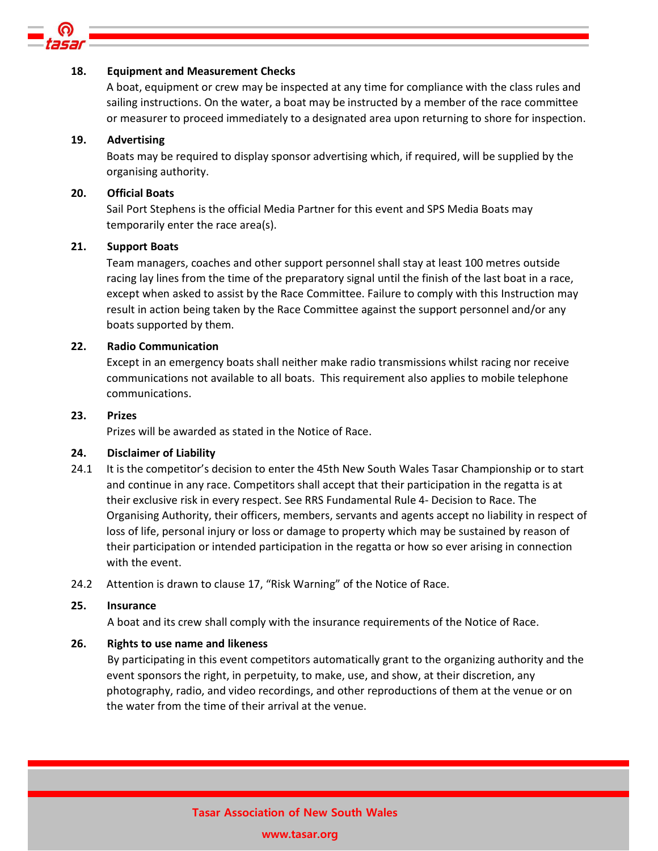

#### 18. Equipment and Measurement Checks

A boat, equipment or crew may be inspected at any time for compliance with the class rules and sailing instructions. On the water, a boat may be instructed by a member of the race committee or measurer to proceed immediately to a designated area upon returning to shore for inspection.

#### 19. Advertising

Boats may be required to display sponsor advertising which, if required, will be supplied by the organising authority.

#### 20. Official Boats

Sail Port Stephens is the official Media Partner for this event and SPS Media Boats may temporarily enter the race area(s).

#### 21. Support Boats

Team managers, coaches and other support personnel shall stay at least 100 metres outside racing lay lines from the time of the preparatory signal until the finish of the last boat in a race, except when asked to assist by the Race Committee. Failure to comply with this Instruction may result in action being taken by the Race Committee against the support personnel and/or any boats supported by them.

#### 22. Radio Communication

Except in an emergency boats shall neither make radio transmissions whilst racing nor receive communications not available to all boats. This requirement also applies to mobile telephone communications.

## 23. Prizes

Prizes will be awarded as stated in the Notice of Race.

#### 24. Disclaimer of Liability

- 24.1 It is the competitor's decision to enter the 45th New South Wales Tasar Championship or to start and continue in any race. Competitors shall accept that their participation in the regatta is at their exclusive risk in every respect. See RRS Fundamental Rule 4- Decision to Race. The Organising Authority, their officers, members, servants and agents accept no liability in respect of loss of life, personal injury or loss or damage to property which may be sustained by reason of their participation or intended participation in the regatta or how so ever arising in connection with the event.
- 24.2 Attention is drawn to clause 17, "Risk Warning" of the Notice of Race.

#### 25. Insurance

A boat and its crew shall comply with the insurance requirements of the Notice of Race.

## 26. Rights to use name and likeness

 By participating in this event competitors automatically grant to the organizing authority and the event sponsors the right, in perpetuity, to make, use, and show, at their discretion, any photography, radio, and video recordings, and other reproductions of them at the venue or on the water from the time of their arrival at the venue.